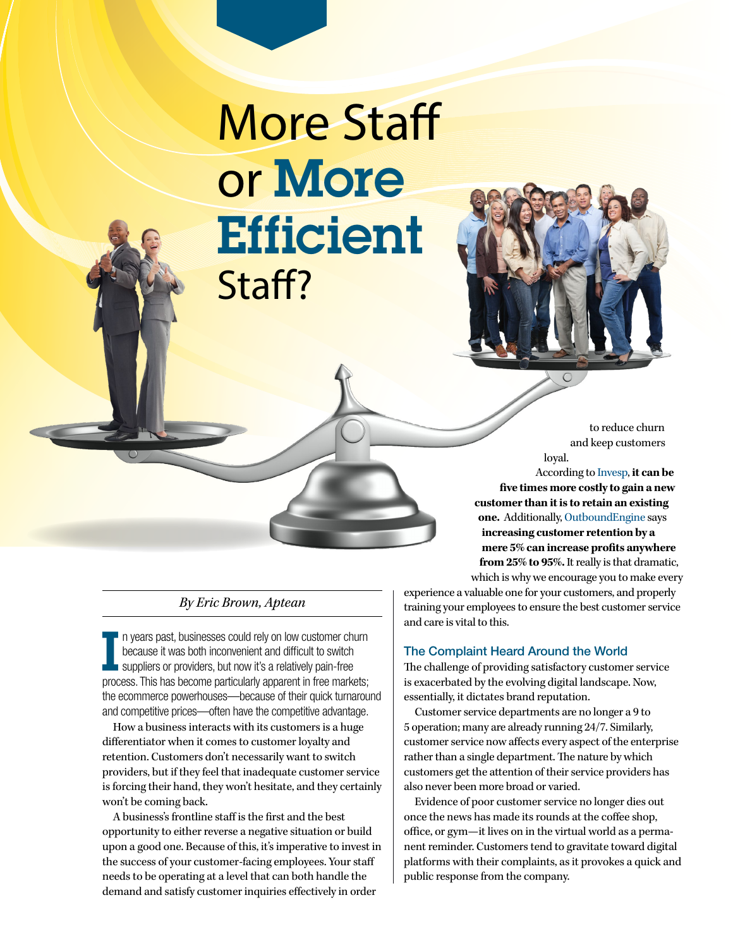# More Staff or More **Efficient** Staff?



to reduce churn and keep customers loyal.

According to [Invesp](https://www.invespcro.com/blog/customer-acquisition-retention/), **it can be five times more costly to gain a new customer than it is to retain an existing one.** Additionally, [OutboundEngine](https://www.outboundengine.com/blog/customer-retention-marketing-vs-customer-acquisition-marketing/) says **increasing customer retention by a mere 5% can increase profits anywhere from 25% to 95%.** It really is that dramatic, which is why we encourage you to make every

## experience a valuable one for your customers, and properly training your employees to ensure the best customer service and care is vital to this.

## The Complaint Heard Around the World

The challenge of providing satisfactory customer service is exacerbated by the evolving digital landscape. Now, essentially, it dictates brand reputation.

Customer service departments are no longer a 9 to 5 operation; many are already running 24/7. Similarly, customer service now affects every aspect of the enterprise rather than a single department. The nature by which customers get the attention of their service providers has also never been more broad or varied.

Evidence of poor customer service no longer dies out once the news has made its rounds at the coffee shop, office, or gym—it lives on in the virtual world as a permanent reminder. Customers tend to gravitate toward digital platforms with their complaints, as it provokes a quick and public response from the company.

## *By Eric Brown, Aptean*

I in years past, businesses could rely on low customer churn<br>because it was both inconvenient and difficult to switch<br>suppliers or providers, but now it's a relatively pain-free<br>process. This has become particularly appare n years past, businesses could rely on low customer churn because it was both inconvenient and difficult to switch suppliers or providers, but now it's a relatively pain-free the ecommerce powerhouses—because of their quick turnaround and competitive prices—often have the competitive advantage.

How a business interacts with its customers is a huge differentiator when it comes to customer loyalty and retention. Customers don't necessarily want to switch providers, but if they feel that inadequate customer service is forcing their hand, they won't hesitate, and they certainly won't be coming back.

A business's frontline staff is the first and the best opportunity to either reverse a negative situation or build upon a good one. Because of this, it's imperative to invest in the success of your customer-facing employees. Your staff needs to be operating at a level that can both handle the demand and satisfy customer inquiries effectively in order